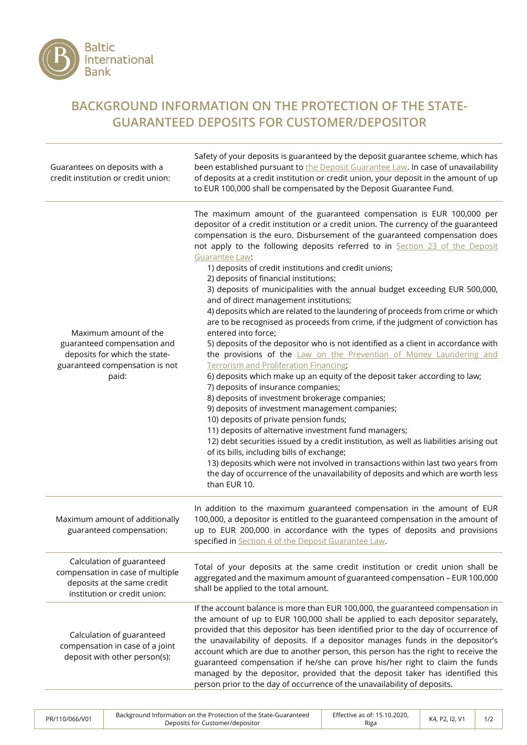

## **BACKGROUND INFORMATION ON THE PROTECTION OF THE STATE-GUARANTEED DEPOSITS FOR CUSTOMER/DEPOSITOR**

| Guarantees on deposits with a<br>credit institution or credit union:                                                             | Safety of your deposits is guaranteed by the deposit guarantee scheme, which has<br>been established pursuant to the Deposit Guarantee Law. In case of unavailability<br>of deposits at a credit institution or credit union, your deposit in the amount of up<br>to EUR 100,000 shall be compensated by the Deposit Guarantee Fund.                                                                                                                                                                                                                                                                                                                                                                                                                                                                                                                                                                                                                                                                                                                                                                                                                                                                                                                                                                                                                                                                                                                                                                                                                                                                                                         |
|----------------------------------------------------------------------------------------------------------------------------------|----------------------------------------------------------------------------------------------------------------------------------------------------------------------------------------------------------------------------------------------------------------------------------------------------------------------------------------------------------------------------------------------------------------------------------------------------------------------------------------------------------------------------------------------------------------------------------------------------------------------------------------------------------------------------------------------------------------------------------------------------------------------------------------------------------------------------------------------------------------------------------------------------------------------------------------------------------------------------------------------------------------------------------------------------------------------------------------------------------------------------------------------------------------------------------------------------------------------------------------------------------------------------------------------------------------------------------------------------------------------------------------------------------------------------------------------------------------------------------------------------------------------------------------------------------------------------------------------------------------------------------------------|
| Maximum amount of the<br>guaranteed compensation and<br>deposits for which the state-<br>guaranteed compensation is not<br>paid: | The maximum amount of the guaranteed compensation is EUR 100,000 per<br>depositor of a credit institution or a credit union. The currency of the guaranteed<br>compensation is the euro. Disbursement of the guaranteed compensation does<br>not apply to the following deposits referred to in Section 23 of the Deposit<br>Guarantee Law:<br>1) deposits of credit institutions and credit unions;<br>2) deposits of financial institutions;<br>3) deposits of municipalities with the annual budget exceeding EUR 500,000,<br>and of direct management institutions;<br>4) deposits which are related to the laundering of proceeds from crime or which<br>are to be recognised as proceeds from crime, if the judgment of conviction has<br>entered into force;<br>5) deposits of the depositor who is not identified as a client in accordance with<br>the provisions of the Law on the Prevention of Money Laundering and<br><b>Terrorism and Proliferation Financing:</b><br>6) deposits which make up an equity of the deposit taker according to law;<br>7) deposits of insurance companies;<br>8) deposits of investment brokerage companies;<br>9) deposits of investment management companies;<br>10) deposits of private pension funds;<br>11) deposits of alternative investment fund managers;<br>12) debt securities issued by a credit institution, as well as liabilities arising out<br>of its bills, including bills of exchange;<br>13) deposits which were not involved in transactions within last two years from<br>the day of occurrence of the unavailability of deposits and which are worth less<br>than EUR 10. |
| Maximum amount of additionally<br>guaranteed compensation:                                                                       | In addition to the maximum guaranteed compensation in the amount of EUR<br>100,000, a depositor is entitled to the guaranteed compensation in the amount of<br>up to EUR 200,000 in accordance with the types of deposits and provisions<br>specified in Section 4 of the Deposit Guarantee Law.                                                                                                                                                                                                                                                                                                                                                                                                                                                                                                                                                                                                                                                                                                                                                                                                                                                                                                                                                                                                                                                                                                                                                                                                                                                                                                                                             |
| Calculation of guaranteed<br>compensation in case of multiple<br>deposits at the same credit<br>institution or credit union:     | Total of your deposits at the same credit institution or credit union shall be<br>aggregated and the maximum amount of guaranteed compensation - EUR 100,000<br>shall be applied to the total amount.                                                                                                                                                                                                                                                                                                                                                                                                                                                                                                                                                                                                                                                                                                                                                                                                                                                                                                                                                                                                                                                                                                                                                                                                                                                                                                                                                                                                                                        |
| Calculation of guaranteed<br>compensation in case of a joint<br>deposit with other person(s):                                    | If the account balance is more than EUR 100,000, the guaranteed compensation in<br>the amount of up to EUR 100,000 shall be applied to each depositor separately,<br>provided that this depositor has been identified prior to the day of occurrence of<br>the unavailability of deposits. If a depositor manages funds in the depositor's<br>account which are due to another person, this person has the right to receive the<br>guaranteed compensation if he/she can prove his/her right to claim the funds<br>managed by the depositor, provided that the deposit taker has identified this<br>person prior to the day of occurrence of the unavailability of deposits.                                                                                                                                                                                                                                                                                                                                                                                                                                                                                                                                                                                                                                                                                                                                                                                                                                                                                                                                                                 |

PR/110/066/V01 Background Information on the Protection of the State-Guaranteed Deposits for Customer/depositor